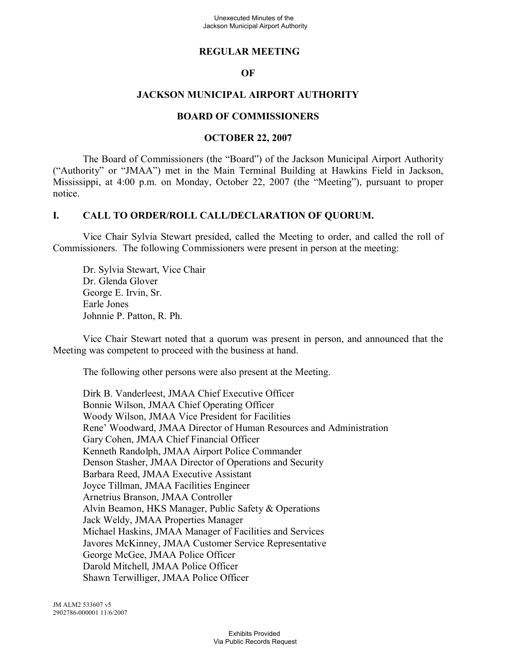### **REGULAR MEETING**

#### **OF**

### **JACKSON MUNICIPAL AIRPORT AUTHORITY**

#### **BOARD OF COMMISSIONERS**

#### **OCTOBER 22, 2007**

The Board of Commissioners (the "Board") of the Jackson Municipal Airport Authority ("Authority" or "JMAA") met in the Main Terminal Building at Hawkins Field in Jackson, Mississippi, at 4:00 p.m. on Monday, October 22, 2007 (the "Meeting"), pursuant to proper notice.

#### **I. CALL TO ORDER/ROLL CALL/DECLARATION OF QUORUM.**

Vice Chair Sylvia Stewart presided, called the Meeting to order, and called the roll of Commissioners. The following Commissioners were present in person at the meeting:

Dr. Sylvia Stewart, Vice Chair Dr. Glenda Glover George E. Irvin, Sr. Earle Jones Johnnie P. Patton, R. Ph.

Vice Chair Stewart noted that a quorum was present in person, and announced that the Meeting was competent to proceed with the business at hand.

The following other persons were also present at the Meeting.

Dirk B. Vanderleest, JMAA Chief Executive Officer Bonnie Wilson, JMAA Chief Operating Officer Woody Wilson, JMAA Vice President for Facilities Rene' Woodward, JMAA Director of Human Resources and Administration Gary Cohen, JMAA Chief Financial Officer Kenneth Randolph, JMAA Airport Police Commander Denson Stasher, JMAA Director of Operations and Security Barbara Reed, JMAA Executive Assistant Joyce Tillman, JMAA Facilities Engineer Arnetrius Branson, JMAA Controller Alvin Beamon, HKS Manager, Public Safety & Operations Jack Weldy, JMAA Properties Manager Michael Haskins, JMAA Manager of Facilities and Services Javores McKinney, JMAA Customer Service Representative George McGee, JMAA Police Officer Darold Mitchell, JMAA Police Officer Shawn Terwilliger, JMAA Police Officer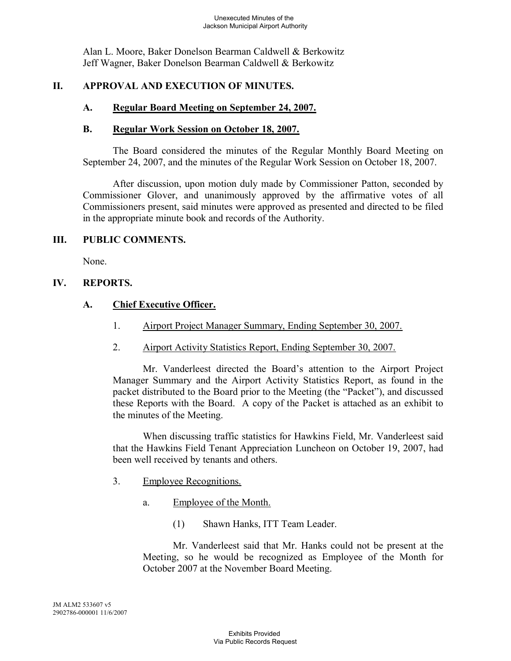Alan L. Moore, Baker Donelson Bearman Caldwell & Berkowitz Jeff Wagner, Baker Donelson Bearman Caldwell & Berkowitz

### **II. APPROVAL AND EXECUTION OF MINUTES.**

### **A. Regular Board Meeting on September 24, 2007.**

#### **B. Regular Work Session on October 18, 2007.**

The Board considered the minutes of the Regular Monthly Board Meeting on September 24, 2007, and the minutes of the Regular Work Session on October 18, 2007.

After discussion, upon motion duly made by Commissioner Patton, seconded by Commissioner Glover, and unanimously approved by the affirmative votes of all Commissioners present, said minutes were approved as presented and directed to be filed in the appropriate minute book and records of the Authority.

#### **III. PUBLIC COMMENTS.**

None.

### **IV. REPORTS.**

#### **A. Chief Executive Officer.**

- 1. Airport Project Manager Summary, Ending September 30, 2007.
- 2. Airport Activity Statistics Report, Ending September 30, 2007.

Mr. Vanderleest directed the Board's attention to the Airport Project Manager Summary and the Airport Activity Statistics Report, as found in the packet distributed to the Board prior to the Meeting (the "Packet"), and discussed these Reports with the Board. A copy of the Packet is attached as an exhibit to the minutes of the Meeting.

When discussing traffic statistics for Hawkins Field, Mr. Vanderleest said that the Hawkins Field Tenant Appreciation Luncheon on October 19, 2007, had been well received by tenants and others.

- 3. Employee Recognitions.
	- a. Employee of the Month.
		- (1) Shawn Hanks, ITT Team Leader.

Mr. Vanderleest said that Mr. Hanks could not be present at the Meeting, so he would be recognized as Employee of the Month for October 2007 at the November Board Meeting.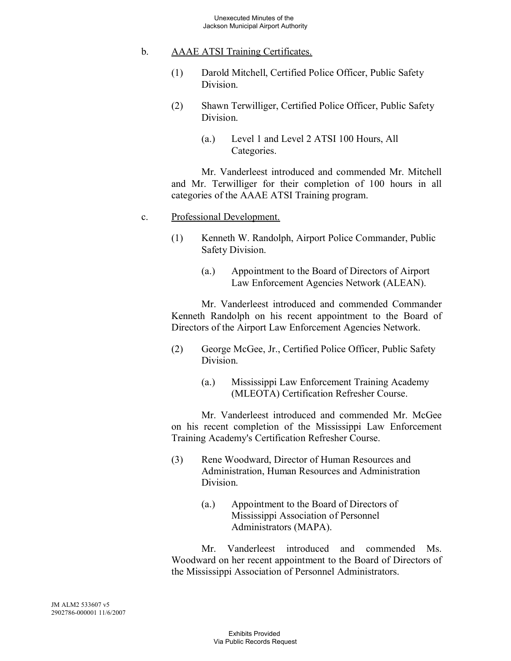### b. AAAE ATSI Training Certificates.

- (1) Darold Mitchell, Certified Police Officer, Public Safety Division.
- (2) Shawn Terwilliger, Certified Police Officer, Public Safety Division.
	- (a.) Level 1 and Level 2 ATSI 100 Hours, All Categories.

Mr. Vanderleest introduced and commended Mr. Mitchell and Mr. Terwilliger for their completion of 100 hours in all categories of the AAAE ATSI Training program.

#### c. Professional Development.

- (1) Kenneth W. Randolph, Airport Police Commander, Public Safety Division.
	- (a.) Appointment to the Board of Directors of Airport Law Enforcement Agencies Network (ALEAN).

Mr. Vanderleest introduced and commended Commander Kenneth Randolph on his recent appointment to the Board of Directors of the Airport Law Enforcement Agencies Network.

- (2) George McGee, Jr., Certified Police Officer, Public Safety Division.
	- (a.) Mississippi Law Enforcement Training Academy (MLEOTA) Certification Refresher Course.

Mr. Vanderleest introduced and commended Mr. McGee on his recent completion of the Mississippi Law Enforcement Training Academy's Certification Refresher Course.

- (3) Rene Woodward, Director of Human Resources and Administration, Human Resources and Administration Division.
	- (a.) Appointment to the Board of Directors of Mississippi Association of Personnel Administrators (MAPA).

Mr. Vanderleest introduced and commended Ms. Woodward on her recent appointment to the Board of Directors of the Mississippi Association of Personnel Administrators.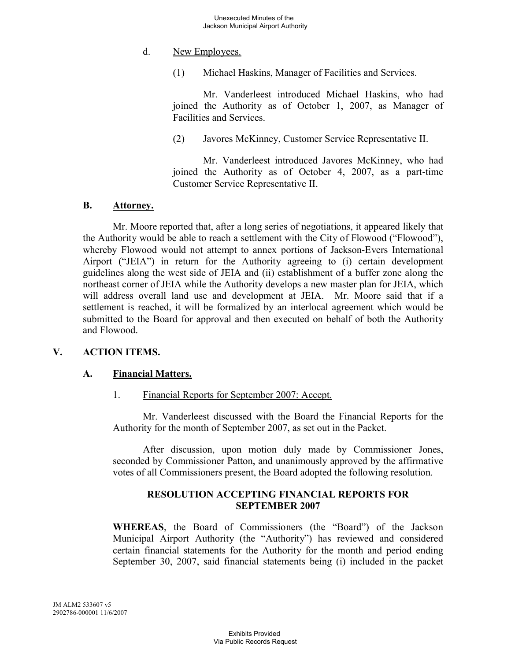### d. New Employees.

(1) Michael Haskins, Manager of Facilities and Services.

Mr. Vanderleest introduced Michael Haskins, who had joined the Authority as of October 1, 2007, as Manager of Facilities and Services.

(2) Javores McKinney, Customer Service Representative II.

Mr. Vanderleest introduced Javores McKinney, who had joined the Authority as of October 4, 2007, as a part-time Customer Service Representative II.

#### **B. Attorney.**

Mr. Moore reported that, after a long series of negotiations, it appeared likely that the Authority would be able to reach a settlement with the City of Flowood ("Flowood"), whereby Flowood would not attempt to annex portions of Jackson-Evers International Airport ("JEIA") in return for the Authority agreeing to (i) certain development guidelines along the west side of JEIA and (ii) establishment of a buffer zone along the northeast corner of JEIA while the Authority develops a new master plan for JEIA, which will address overall land use and development at JEIA. Mr. Moore said that if a settlement is reached, it will be formalized by an interlocal agreement which would be submitted to the Board for approval and then executed on behalf of both the Authority and Flowood.

#### **V. ACTION ITEMS.**

#### **A. Financial Matters.**

#### 1. Financial Reports for September 2007: Accept.

Mr. Vanderleest discussed with the Board the Financial Reports for the Authority for the month of September 2007, as set out in the Packet.

After discussion, upon motion duly made by Commissioner Jones, seconded by Commissioner Patton, and unanimously approved by the affirmative votes of all Commissioners present, the Board adopted the following resolution.

#### **RESOLUTION ACCEPTING FINANCIAL REPORTS FOR SEPTEMBER 2007**

**WHEREAS**, the Board of Commissioners (the "Board") of the Jackson Municipal Airport Authority (the "Authority") has reviewed and considered certain financial statements for the Authority for the month and period ending September 30, 2007, said financial statements being (i) included in the packet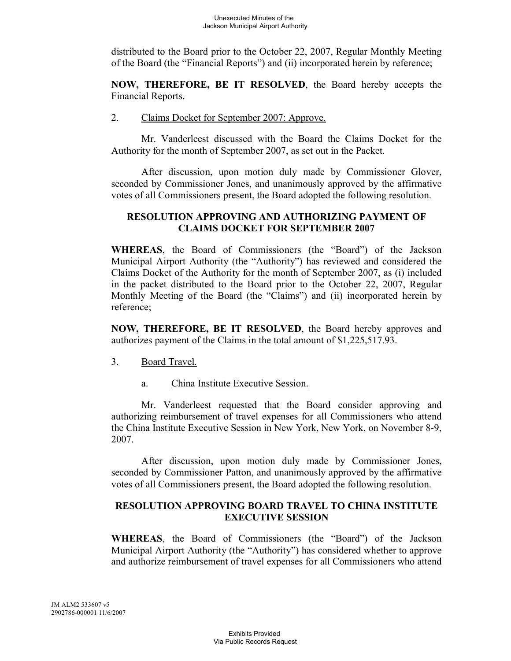distributed to the Board prior to the October 22, 2007, Regular Monthly Meeting of the Board (the "Financial Reports") and (ii) incorporated herein by reference;

**NOW, THEREFORE, BE IT RESOLVED**, the Board hereby accepts the Financial Reports.

#### 2. Claims Docket for September 2007: Approve.

Mr. Vanderleest discussed with the Board the Claims Docket for the Authority for the month of September 2007, as set out in the Packet.

After discussion, upon motion duly made by Commissioner Glover, seconded by Commissioner Jones, and unanimously approved by the affirmative votes of all Commissioners present, the Board adopted the following resolution.

#### **RESOLUTION APPROVING AND AUTHORIZING PAYMENT OF CLAIMS DOCKET FOR SEPTEMBER 2007**

**WHEREAS**, the Board of Commissioners (the "Board") of the Jackson Municipal Airport Authority (the "Authority") has reviewed and considered the Claims Docket of the Authority for the month of September 2007, as (i) included in the packet distributed to the Board prior to the October 22, 2007, Regular Monthly Meeting of the Board (the "Claims") and (ii) incorporated herein by reference;

**NOW, THEREFORE, BE IT RESOLVED**, the Board hereby approves and authorizes payment of the Claims in the total amount of \$1,225,517.93.

- 3. Board Travel.
	- a. China Institute Executive Session.

Mr. Vanderleest requested that the Board consider approving and authorizing reimbursement of travel expenses for all Commissioners who attend the China Institute Executive Session in New York, New York, on November 8-9, 2007.

After discussion, upon motion duly made by Commissioner Jones, seconded by Commissioner Patton, and unanimously approved by the affirmative votes of all Commissioners present, the Board adopted the following resolution.

### **RESOLUTION APPROVING BOARD TRAVEL TO CHINA INSTITUTE EXECUTIVE SESSION**

**WHEREAS**, the Board of Commissioners (the "Board") of the Jackson Municipal Airport Authority (the "Authority") has considered whether to approve and authorize reimbursement of travel expenses for all Commissioners who attend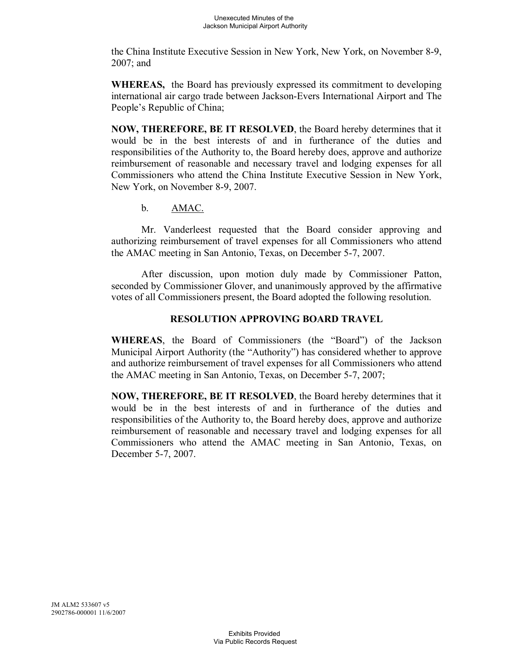the China Institute Executive Session in New York, New York, on November 8-9, 2007; and

**WHEREAS,** the Board has previously expressed its commitment to developing international air cargo trade between Jackson-Evers International Airport and The People's Republic of China;

**NOW, THEREFORE, BE IT RESOLVED**, the Board hereby determines that it would be in the best interests of and in furtherance of the duties and responsibilities of the Authority to, the Board hereby does, approve and authorize reimbursement of reasonable and necessary travel and lodging expenses for all Commissioners who attend the China Institute Executive Session in New York, New York, on November 8-9, 2007.

b. AMAC.

Mr. Vanderleest requested that the Board consider approving and authorizing reimbursement of travel expenses for all Commissioners who attend the AMAC meeting in San Antonio, Texas, on December 5-7, 2007.

After discussion, upon motion duly made by Commissioner Patton, seconded by Commissioner Glover, and unanimously approved by the affirmative votes of all Commissioners present, the Board adopted the following resolution.

# **RESOLUTION APPROVING BOARD TRAVEL**

**WHEREAS**, the Board of Commissioners (the "Board") of the Jackson Municipal Airport Authority (the "Authority") has considered whether to approve and authorize reimbursement of travel expenses for all Commissioners who attend the AMAC meeting in San Antonio, Texas, on December 5-7, 2007;

**NOW, THEREFORE, BE IT RESOLVED**, the Board hereby determines that it would be in the best interests of and in furtherance of the duties and responsibilities of the Authority to, the Board hereby does, approve and authorize reimbursement of reasonable and necessary travel and lodging expenses for all Commissioners who attend the AMAC meeting in San Antonio, Texas, on December 5-7, 2007.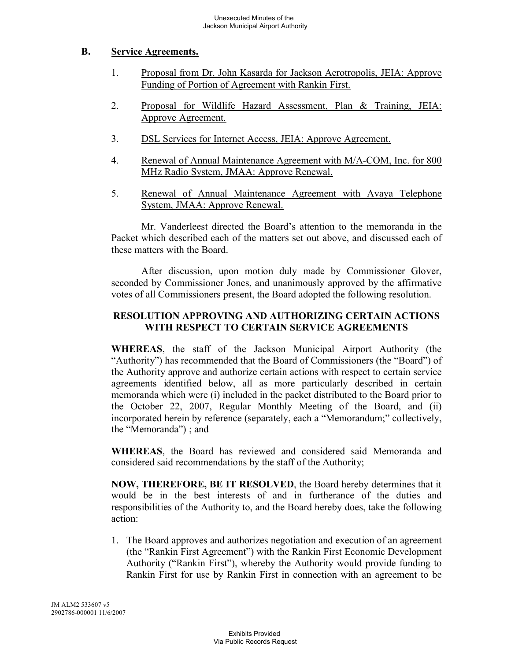### **B. Service Agreements.**

- 1. Proposal from Dr. John Kasarda for Jackson Aerotropolis, JEIA: Approve Funding of Portion of Agreement with Rankin First.
- 2. Proposal for Wildlife Hazard Assessment, Plan & Training, JEIA: Approve Agreement.
- 3. DSL Services for Internet Access, JEIA: Approve Agreement.
- 4. Renewal of Annual Maintenance Agreement with M/A-COM, Inc. for 800 MHz Radio System, JMAA: Approve Renewal.
- 5. Renewal of Annual Maintenance Agreement with Avaya Telephone System, JMAA: Approve Renewal.

Mr. Vanderleest directed the Board's attention to the memoranda in the Packet which described each of the matters set out above, and discussed each of these matters with the Board.

After discussion, upon motion duly made by Commissioner Glover, seconded by Commissioner Jones, and unanimously approved by the affirmative votes of all Commissioners present, the Board adopted the following resolution.

### **RESOLUTION APPROVING AND AUTHORIZING CERTAIN ACTIONS WITH RESPECT TO CERTAIN SERVICE AGREEMENTS**

**WHEREAS**, the staff of the Jackson Municipal Airport Authority (the "Authority") has recommended that the Board of Commissioners (the "Board") of the Authority approve and authorize certain actions with respect to certain service agreements identified below, all as more particularly described in certain memoranda which were (i) included in the packet distributed to the Board prior to the October 22, 2007, Regular Monthly Meeting of the Board, and (ii) incorporated herein by reference (separately, each a "Memorandum;" collectively, the "Memoranda") ; and

**WHEREAS**, the Board has reviewed and considered said Memoranda and considered said recommendations by the staff of the Authority;

**NOW, THEREFORE, BE IT RESOLVED**, the Board hereby determines that it would be in the best interests of and in furtherance of the duties and responsibilities of the Authority to, and the Board hereby does, take the following action:

1. The Board approves and authorizes negotiation and execution of an agreement (the "Rankin First Agreement") with the Rankin First Economic Development Authority ("Rankin First"), whereby the Authority would provide funding to Rankin First for use by Rankin First in connection with an agreement to be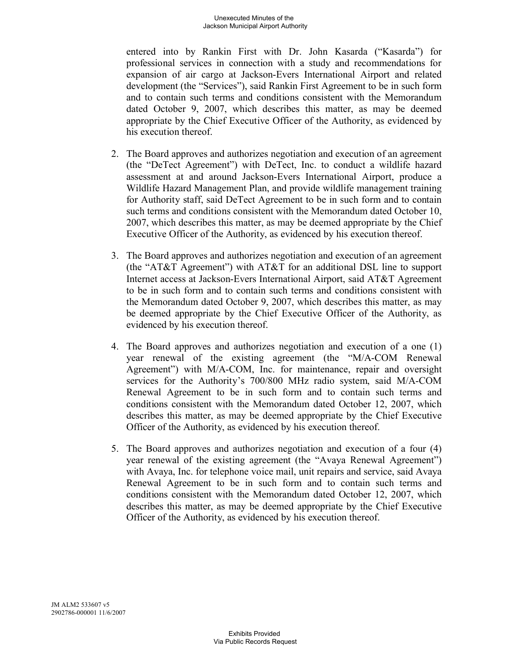entered into by Rankin First with Dr. John Kasarda ("Kasarda") for professional services in connection with a study and recommendations for expansion of air cargo at Jackson-Evers International Airport and related development (the "Services"), said Rankin First Agreement to be in such form and to contain such terms and conditions consistent with the Memorandum dated October 9, 2007, which describes this matter, as may be deemed appropriate by the Chief Executive Officer of the Authority, as evidenced by his execution thereof.

- 2. The Board approves and authorizes negotiation and execution of an agreement (the "DeTect Agreement") with DeTect, Inc. to conduct a wildlife hazard assessment at and around Jackson-Evers International Airport, produce a Wildlife Hazard Management Plan, and provide wildlife management training for Authority staff, said DeTect Agreement to be in such form and to contain such terms and conditions consistent with the Memorandum dated October 10, 2007, which describes this matter, as may be deemed appropriate by the Chief Executive Officer of the Authority, as evidenced by his execution thereof.
- 3. The Board approves and authorizes negotiation and execution of an agreement (the "AT&T Agreement") with AT&T for an additional DSL line to support Internet access at Jackson-Evers International Airport, said AT&T Agreement to be in such form and to contain such terms and conditions consistent with the Memorandum dated October 9, 2007, which describes this matter, as may be deemed appropriate by the Chief Executive Officer of the Authority, as evidenced by his execution thereof.
- 4. The Board approves and authorizes negotiation and execution of a one (1) year renewal of the existing agreement (the "M/A-COM Renewal Agreement") with M/A-COM, Inc. for maintenance, repair and oversight services for the Authority's 700/800 MHz radio system, said M/A-COM Renewal Agreement to be in such form and to contain such terms and conditions consistent with the Memorandum dated October 12, 2007, which describes this matter, as may be deemed appropriate by the Chief Executive Officer of the Authority, as evidenced by his execution thereof.
- 5. The Board approves and authorizes negotiation and execution of a four (4) year renewal of the existing agreement (the "Avaya Renewal Agreement") with Avaya, Inc. for telephone voice mail, unit repairs and service, said Avaya Renewal Agreement to be in such form and to contain such terms and conditions consistent with the Memorandum dated October 12, 2007, which describes this matter, as may be deemed appropriate by the Chief Executive Officer of the Authority, as evidenced by his execution thereof.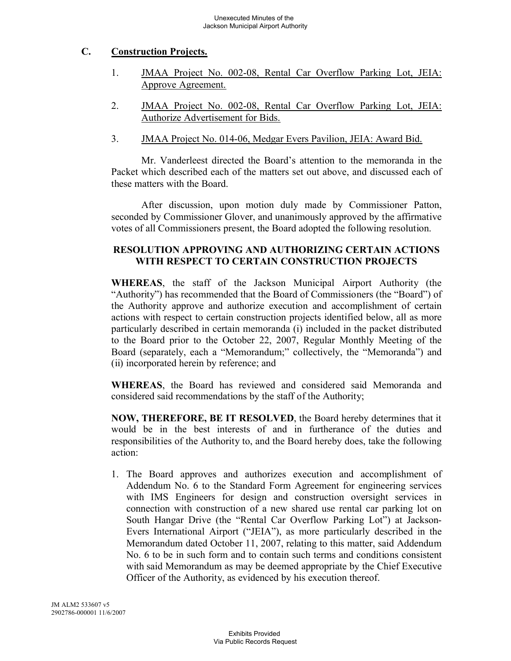# **C. Construction Projects.**

- 1. JMAA Project No. 002-08, Rental Car Overflow Parking Lot, JEIA: Approve Agreement.
- 2. JMAA Project No. 002-08, Rental Car Overflow Parking Lot, JEIA: Authorize Advertisement for Bids.
- 3. JMAA Project No. 014-06, Medgar Evers Pavilion, JEIA: Award Bid.

Mr. Vanderleest directed the Board's attention to the memoranda in the Packet which described each of the matters set out above, and discussed each of these matters with the Board.

After discussion, upon motion duly made by Commissioner Patton, seconded by Commissioner Glover, and unanimously approved by the affirmative votes of all Commissioners present, the Board adopted the following resolution.

### **RESOLUTION APPROVING AND AUTHORIZING CERTAIN ACTIONS WITH RESPECT TO CERTAIN CONSTRUCTION PROJECTS**

**WHEREAS**, the staff of the Jackson Municipal Airport Authority (the "Authority") has recommended that the Board of Commissioners (the "Board") of the Authority approve and authorize execution and accomplishment of certain actions with respect to certain construction projects identified below, all as more particularly described in certain memoranda (i) included in the packet distributed to the Board prior to the October 22, 2007, Regular Monthly Meeting of the Board (separately, each a "Memorandum;" collectively, the "Memoranda") and (ii) incorporated herein by reference; and

**WHEREAS**, the Board has reviewed and considered said Memoranda and considered said recommendations by the staff of the Authority;

**NOW, THEREFORE, BE IT RESOLVED**, the Board hereby determines that it would be in the best interests of and in furtherance of the duties and responsibilities of the Authority to, and the Board hereby does, take the following action:

1. The Board approves and authorizes execution and accomplishment of Addendum No. 6 to the Standard Form Agreement for engineering services with IMS Engineers for design and construction oversight services in connection with construction of a new shared use rental car parking lot on South Hangar Drive (the "Rental Car Overflow Parking Lot") at Jackson-Evers International Airport ("JEIA"), as more particularly described in the Memorandum dated October 11, 2007, relating to this matter, said Addendum No. 6 to be in such form and to contain such terms and conditions consistent with said Memorandum as may be deemed appropriate by the Chief Executive Officer of the Authority, as evidenced by his execution thereof.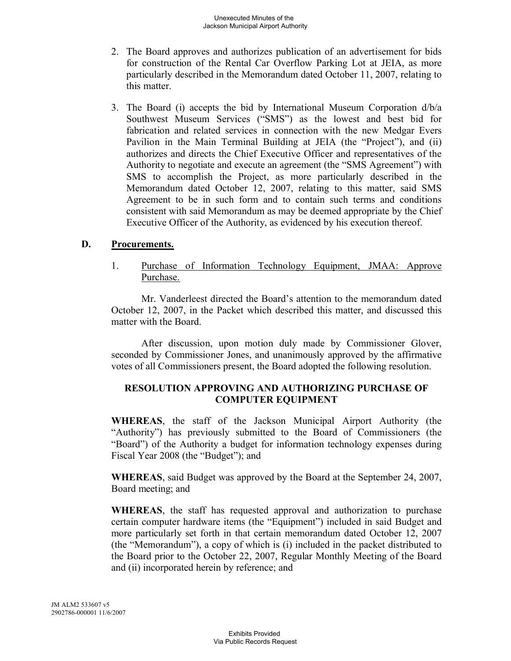- 2. The Board approves and authorizes publication of an advertisement for bids for construction of the Rental Car Overflow Parking Lot at JEIA, as more particularly described in the Memorandum dated October 11, 2007, relating to this matter.
- 3. The Board (i) accepts the bid by International Museum Corporation d/b/a Southwest Museum Services ("SMS") as the lowest and best bid for fabrication and related services in connection with the new Medgar Evers Pavilion in the Main Terminal Building at JEIA (the "Project"), and (ii) authorizes and directs the Chief Executive Officer and representatives of the Authority to negotiate and execute an agreement (the "SMS Agreement") with SMS to accomplish the Project, as more particularly described in the Memorandum dated October 12, 2007, relating to this matter, said SMS Agreement to be in such form and to contain such terms and conditions consistent with said Memorandum as may be deemed appropriate by the Chief Executive Officer of the Authority, as evidenced by his execution thereof.

#### **D. Procurements.**

1. Purchase of Information Technology Equipment, JMAA: Approve Purchase.

Mr. Vanderleest directed the Board's attention to the memorandum dated October 12, 2007, in the Packet which described this matter, and discussed this matter with the Board.

After discussion, upon motion duly made by Commissioner Glover, seconded by Commissioner Jones, and unanimously approved by the affirmative votes of all Commissioners present, the Board adopted the following resolution.

# **RESOLUTION APPROVING AND AUTHORIZING PURCHASE OF COMPUTER EQUIPMENT**

**WHEREAS**, the staff of the Jackson Municipal Airport Authority (the "Authority") has previously submitted to the Board of Commissioners (the "Board") of the Authority a budget for information technology expenses during Fiscal Year 2008 (the "Budget"); and

**WHEREAS**, said Budget was approved by the Board at the September 24, 2007, Board meeting; and

**WHEREAS**, the staff has requested approval and authorization to purchase certain computer hardware items (the "Equipment") included in said Budget and more particularly set forth in that certain memorandum dated October 12, 2007 (the "Memorandum"), a copy of which is (i) included in the packet distributed to the Board prior to the October 22, 2007, Regular Monthly Meeting of the Board and (ii) incorporated herein by reference; and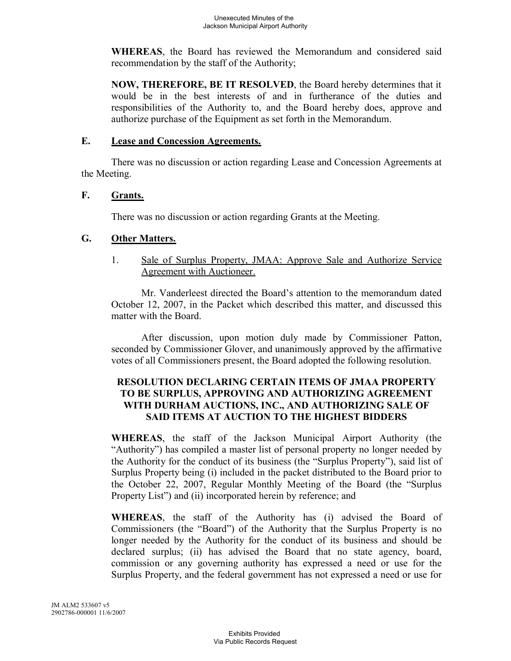**WHEREAS**, the Board has reviewed the Memorandum and considered said recommendation by the staff of the Authority;

**NOW, THEREFORE, BE IT RESOLVED**, the Board hereby determines that it would be in the best interests of and in furtherance of the duties and responsibilities of the Authority to, and the Board hereby does, approve and authorize purchase of the Equipment as set forth in the Memorandum.

#### **E. Lease and Concession Agreements.**

There was no discussion or action regarding Lease and Concession Agreements at the Meeting.

#### **F. Grants.**

There was no discussion or action regarding Grants at the Meeting.

#### **G. Other Matters.**

1. Sale of Surplus Property, JMAA: Approve Sale and Authorize Service Agreement with Auctioneer.

Mr. Vanderleest directed the Board's attention to the memorandum dated October 12, 2007, in the Packet which described this matter, and discussed this matter with the Board.

After discussion, upon motion duly made by Commissioner Patton, seconded by Commissioner Glover, and unanimously approved by the affirmative votes of all Commissioners present, the Board adopted the following resolution.

### **RESOLUTION DECLARING CERTAIN ITEMS OF JMAA PROPERTY TO BE SURPLUS, APPROVING AND AUTHORIZING AGREEMENT WITH DURHAM AUCTIONS, INC., AND AUTHORIZING SALE OF SAID ITEMS AT AUCTION TO THE HIGHEST BIDDERS**

**WHEREAS**, the staff of the Jackson Municipal Airport Authority (the "Authority") has compiled a master list of personal property no longer needed by the Authority for the conduct of its business (the "Surplus Property"), said list of Surplus Property being (i) included in the packet distributed to the Board prior to the October 22, 2007, Regular Monthly Meeting of the Board (the "Surplus Property List") and (ii) incorporated herein by reference; and

**WHEREAS**, the staff of the Authority has (i) advised the Board of Commissioners (the "Board") of the Authority that the Surplus Property is no longer needed by the Authority for the conduct of its business and should be declared surplus; (ii) has advised the Board that no state agency, board, commission or any governing authority has expressed a need or use for the Surplus Property, and the federal government has not expressed a need or use for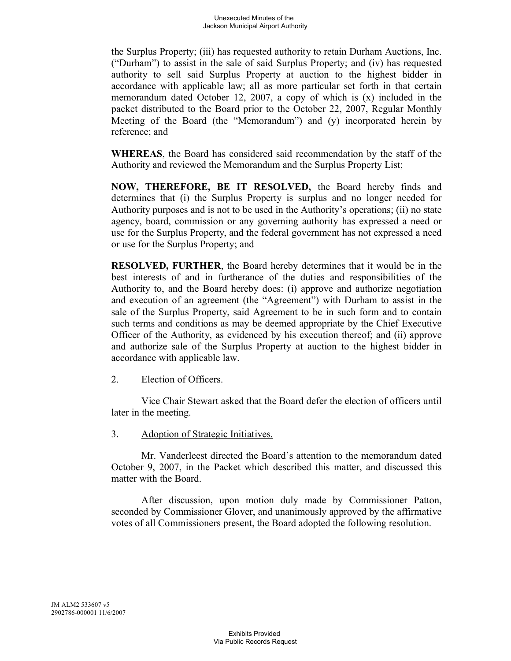the Surplus Property; (iii) has requested authority to retain Durham Auctions, Inc. ("Durham") to assist in the sale of said Surplus Property; and (iv) has requested authority to sell said Surplus Property at auction to the highest bidder in accordance with applicable law; all as more particular set forth in that certain memorandum dated October 12, 2007, a copy of which is (x) included in the packet distributed to the Board prior to the October 22, 2007, Regular Monthly Meeting of the Board (the "Memorandum") and (y) incorporated herein by reference; and

**WHEREAS**, the Board has considered said recommendation by the staff of the Authority and reviewed the Memorandum and the Surplus Property List;

**NOW, THEREFORE, BE IT RESOLVED,** the Board hereby finds and determines that (i) the Surplus Property is surplus and no longer needed for Authority purposes and is not to be used in the Authority's operations; (ii) no state agency, board, commission or any governing authority has expressed a need or use for the Surplus Property, and the federal government has not expressed a need or use for the Surplus Property; and

**RESOLVED, FURTHER**, the Board hereby determines that it would be in the best interests of and in furtherance of the duties and responsibilities of the Authority to, and the Board hereby does: (i) approve and authorize negotiation and execution of an agreement (the "Agreement") with Durham to assist in the sale of the Surplus Property, said Agreement to be in such form and to contain such terms and conditions as may be deemed appropriate by the Chief Executive Officer of the Authority, as evidenced by his execution thereof; and (ii) approve and authorize sale of the Surplus Property at auction to the highest bidder in accordance with applicable law.

### 2. Election of Officers.

Vice Chair Stewart asked that the Board defer the election of officers until later in the meeting.

#### 3. Adoption of Strategic Initiatives.

Mr. Vanderleest directed the Board's attention to the memorandum dated October 9, 2007, in the Packet which described this matter, and discussed this matter with the Board.

After discussion, upon motion duly made by Commissioner Patton, seconded by Commissioner Glover, and unanimously approved by the affirmative votes of all Commissioners present, the Board adopted the following resolution.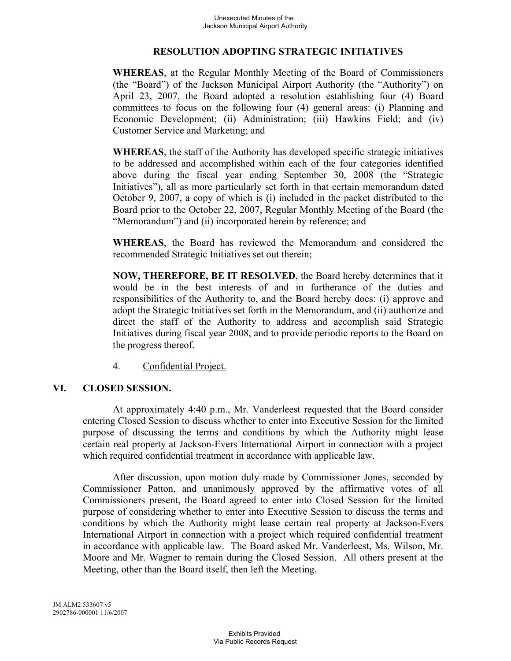#### **RESOLUTION ADOPTING STRATEGIC INITIATIVES**

**WHEREAS**, at the Regular Monthly Meeting of the Board of Commissioners (the "Board") of the Jackson Municipal Airport Authority (the "Authority") on April 23, 2007, the Board adopted a resolution establishing four (4) Board committees to focus on the following four (4) general areas: (i) Planning and Economic Development; (ii) Administration; (iii) Hawkins Field; and (iv) Customer Service and Marketing; and

**WHEREAS**, the staff of the Authority has developed specific strategic initiatives to be addressed and accomplished within each of the four categories identified above during the fiscal year ending September 30, 2008 (the "Strategic Initiatives"), all as more particularly set forth in that certain memorandum dated October 9, 2007, a copy of which is (i) included in the packet distributed to the Board prior to the October 22, 2007, Regular Monthly Meeting of the Board (the "Memorandum") and (ii) incorporated herein by reference; and

**WHEREAS**, the Board has reviewed the Memorandum and considered the recommended Strategic Initiatives set out therein;

**NOW, THEREFORE, BE IT RESOLVED**, the Board hereby determines that it would be in the best interests of and in furtherance of the duties and responsibilities of the Authority to, and the Board hereby does: (i) approve and adopt the Strategic Initiatives set forth in the Memorandum, and (ii) authorize and direct the staff of the Authority to address and accomplish said Strategic Initiatives during fiscal year 2008, and to provide periodic reports to the Board on the progress thereof.

4. Confidential Project.

### **VI. CLOSED SESSION.**

At approximately 4:40 p.m., Mr. Vanderleest requested that the Board consider entering Closed Session to discuss whether to enter into Executive Session for the limited purpose of discussing the terms and conditions by which the Authority might lease certain real property at Jackson-Evers International Airport in connection with a project which required confidential treatment in accordance with applicable law.

After discussion, upon motion duly made by Commissioner Jones, seconded by Commissioner Patton, and unanimously approved by the affirmative votes of all Commissioners present, the Board agreed to enter into Closed Session for the limited purpose of considering whether to enter into Executive Session to discuss the terms and conditions by which the Authority might lease certain real property at Jackson-Evers International Airport in connection with a project which required confidential treatment in accordance with applicable law. The Board asked Mr. Vanderleest, Ms. Wilson, Mr. Moore and Mr. Wagner to remain during the Closed Session. All others present at the Meeting, other than the Board itself, then left the Meeting.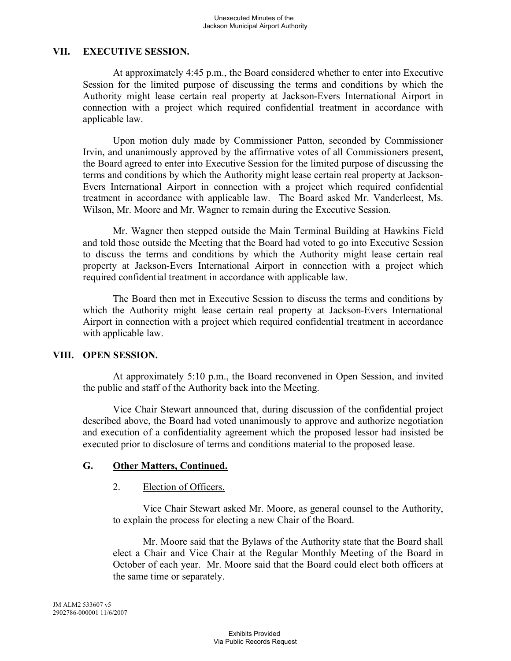### **VII. EXECUTIVE SESSION.**

At approximately 4:45 p.m., the Board considered whether to enter into Executive Session for the limited purpose of discussing the terms and conditions by which the Authority might lease certain real property at Jackson-Evers International Airport in connection with a project which required confidential treatment in accordance with applicable law.

Upon motion duly made by Commissioner Patton, seconded by Commissioner Irvin, and unanimously approved by the affirmative votes of all Commissioners present, the Board agreed to enter into Executive Session for the limited purpose of discussing the terms and conditions by which the Authority might lease certain real property at Jackson-Evers International Airport in connection with a project which required confidential treatment in accordance with applicable law. The Board asked Mr. Vanderleest, Ms. Wilson, Mr. Moore and Mr. Wagner to remain during the Executive Session.

Mr. Wagner then stepped outside the Main Terminal Building at Hawkins Field and told those outside the Meeting that the Board had voted to go into Executive Session to discuss the terms and conditions by which the Authority might lease certain real property at Jackson-Evers International Airport in connection with a project which required confidential treatment in accordance with applicable law.

The Board then met in Executive Session to discuss the terms and conditions by which the Authority might lease certain real property at Jackson-Evers International Airport in connection with a project which required confidential treatment in accordance with applicable law.

### **VIII. OPEN SESSION.**

At approximately 5:10 p.m., the Board reconvened in Open Session, and invited the public and staff of the Authority back into the Meeting.

Vice Chair Stewart announced that, during discussion of the confidential project described above, the Board had voted unanimously to approve and authorize negotiation and execution of a confidentiality agreement which the proposed lessor had insisted be executed prior to disclosure of terms and conditions material to the proposed lease.

# **G. Other Matters, Continued.**

### 2. Election of Officers.

Vice Chair Stewart asked Mr. Moore, as general counsel to the Authority, to explain the process for electing a new Chair of the Board.

Mr. Moore said that the Bylaws of the Authority state that the Board shall elect a Chair and Vice Chair at the Regular Monthly Meeting of the Board in October of each year. Mr. Moore said that the Board could elect both officers at the same time or separately.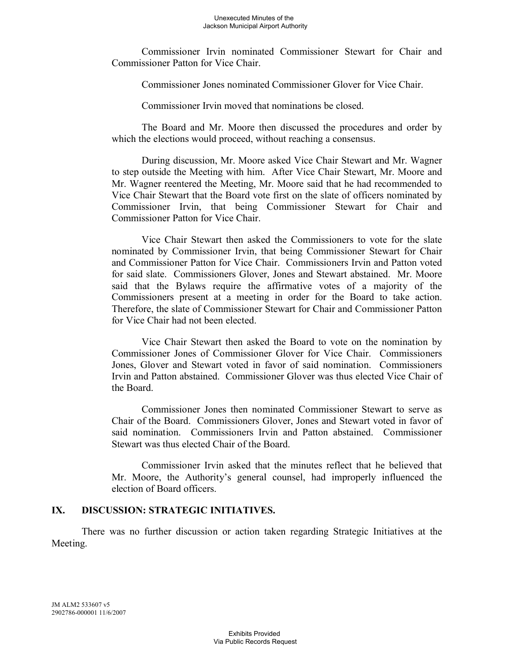Commissioner Irvin nominated Commissioner Stewart for Chair and Commissioner Patton for Vice Chair.

Commissioner Jones nominated Commissioner Glover for Vice Chair.

Commissioner Irvin moved that nominations be closed.

The Board and Mr. Moore then discussed the procedures and order by which the elections would proceed, without reaching a consensus.

During discussion, Mr. Moore asked Vice Chair Stewart and Mr. Wagner to step outside the Meeting with him. After Vice Chair Stewart, Mr. Moore and Mr. Wagner reentered the Meeting, Mr. Moore said that he had recommended to Vice Chair Stewart that the Board vote first on the slate of officers nominated by Commissioner Irvin, that being Commissioner Stewart for Chair and Commissioner Patton for Vice Chair.

Vice Chair Stewart then asked the Commissioners to vote for the slate nominated by Commissioner Irvin, that being Commissioner Stewart for Chair and Commissioner Patton for Vice Chair. Commissioners Irvin and Patton voted for said slate. Commissioners Glover, Jones and Stewart abstained. Mr. Moore said that the Bylaws require the affirmative votes of a majority of the Commissioners present at a meeting in order for the Board to take action. Therefore, the slate of Commissioner Stewart for Chair and Commissioner Patton for Vice Chair had not been elected.

Vice Chair Stewart then asked the Board to vote on the nomination by Commissioner Jones of Commissioner Glover for Vice Chair. Commissioners Jones, Glover and Stewart voted in favor of said nomination. Commissioners Irvin and Patton abstained. Commissioner Glover was thus elected Vice Chair of the Board.

Commissioner Jones then nominated Commissioner Stewart to serve as Chair of the Board. Commissioners Glover, Jones and Stewart voted in favor of said nomination. Commissioners Irvin and Patton abstained. Commissioner Stewart was thus elected Chair of the Board.

Commissioner Irvin asked that the minutes reflect that he believed that Mr. Moore, the Authority's general counsel, had improperly influenced the election of Board officers.

#### **IX. DISCUSSION: STRATEGIC INITIATIVES.**

There was no further discussion or action taken regarding Strategic Initiatives at the Meeting.